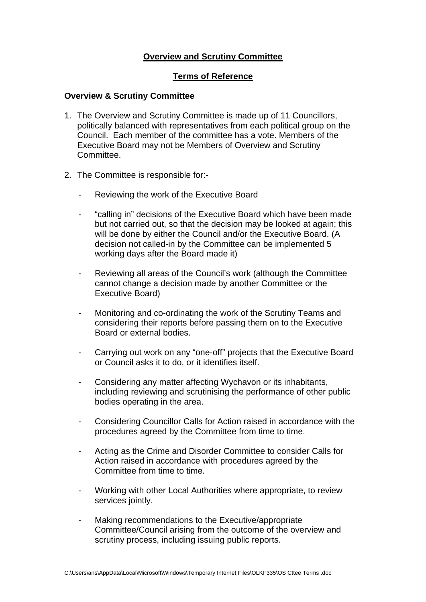## **Overview and Scrutiny Committee**

## **Terms of Reference**

## **Overview & Scrutiny Committee**

- 1. The Overview and Scrutiny Committee is made up of 11 Councillors, politically balanced with representatives from each political group on the Council. Each member of the committee has a vote. Members of the Executive Board may not be Members of Overview and Scrutiny Committee.
- 2. The Committee is responsible for:-
	- Reviewing the work of the Executive Board
	- "calling in" decisions of the Executive Board which have been made but not carried out, so that the decision may be looked at again; this will be done by either the Council and/or the Executive Board. (A decision not called-in by the Committee can be implemented 5 working days after the Board made it)
	- Reviewing all areas of the Council's work (although the Committee cannot change a decision made by another Committee or the Executive Board)
	- Monitoring and co-ordinating the work of the Scrutiny Teams and considering their reports before passing them on to the Executive Board or external bodies.
	- Carrying out work on any "one-off" projects that the Executive Board or Council asks it to do, or it identifies itself.
	- Considering any matter affecting Wychavon or its inhabitants, including reviewing and scrutinising the performance of other public bodies operating in the area.
	- Considering Councillor Calls for Action raised in accordance with the procedures agreed by the Committee from time to time.
	- Acting as the Crime and Disorder Committee to consider Calls for Action raised in accordance with procedures agreed by the Committee from time to time.
	- Working with other Local Authorities where appropriate, to review services jointly.
	- Making recommendations to the Executive/appropriate Committee/Council arising from the outcome of the overview and scrutiny process, including issuing public reports.